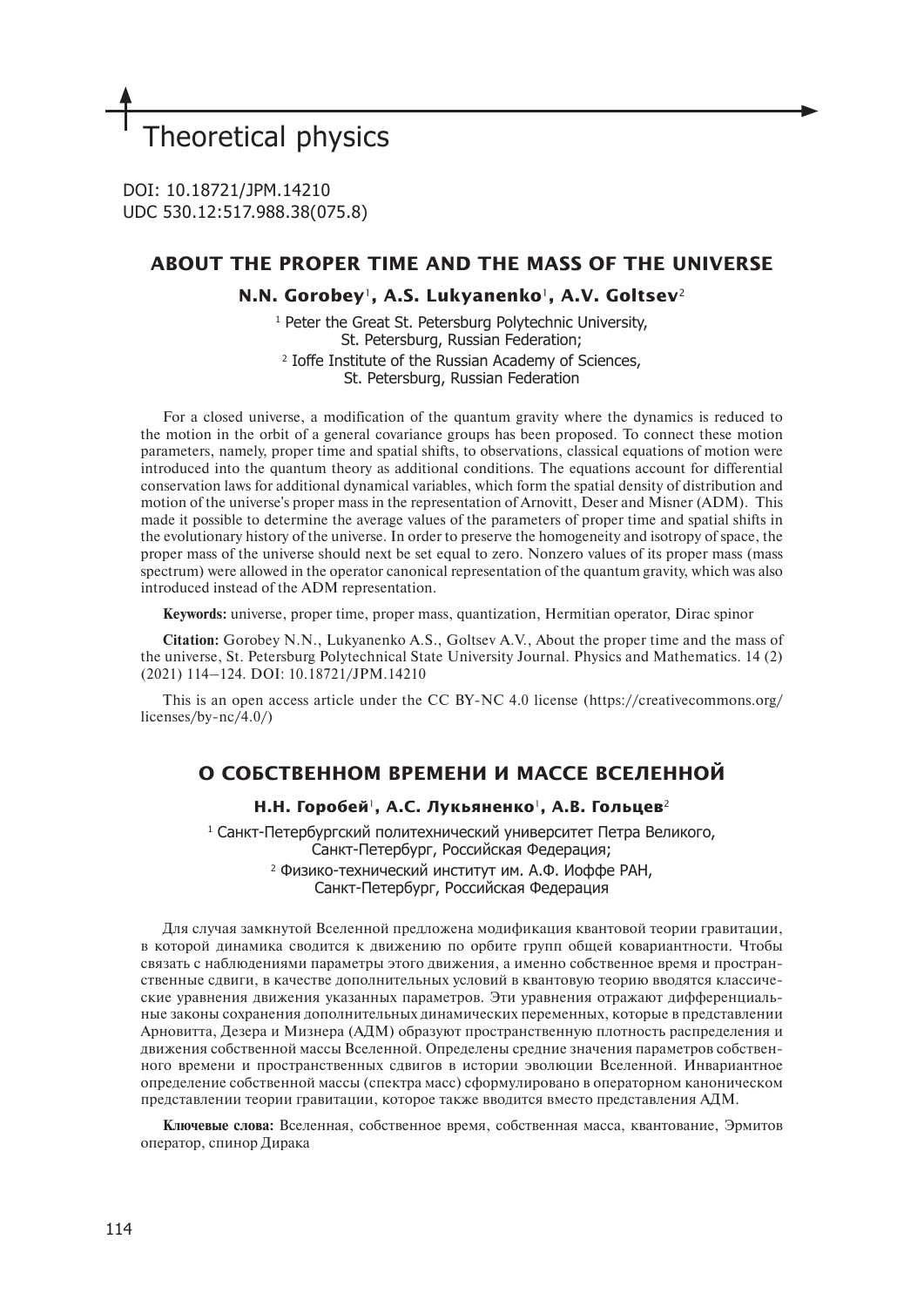# Theoretical physics

DOI: 10.18721/JPM.14210 UDC 530.12:517.988.38(075.8)

# **ABOUT THE PROPER TIME AND THE MASS OF THE UNIVERSE**

# **N.N. Gorobey**1**, A.S. Lukyanenko**1**, A.V. Goltsev**<sup>2</sup>

1 Peter the Great St. Petersburg Polytechnic University, St. Petersburg, Russian Federation; 2 Ioffe Institute of the Russian Academy of Sciences, St. Petersburg, Russian Federation

For a closed universe, a modification of the quantum gravity where the dynamics is reduced to the motion in the orbit of a general covariance groups has been proposed. To connect these motion parameters, namely, proper time and spatial shifts, to observations, classical equations of motion were introduced into the quantum theory as additional conditions. The equations account for differential conservation laws for additional dynamical variables, which form the spatial density of distribution and motion of the universe's proper mass in the representation of Arnovitt, Deser and Misner (ADM). This made it possible to determine the average values of the parameters of proper time and spatial shifts in the evolutionary history of the universe. In order to preserve the homogeneity and isotropy of space, the proper mass of the universe should next be set equal to zero. Nonzero values of its proper mass (mass spectrum) were allowed in the operator canonical representation of the quantum gravity, which was also introduced instead of the ADM representation.

**Keywords:** universe, proper time, proper mass, quantization, Hermitian operator, Dirac spinor

**Citation:** Gorobey N.N., Lukyanenko A.S., Goltsev A.V., About the proper time and the mass of the universe, St. Petersburg Polytechnical State University Journal. Physics and Mathematics. 14 (2) (2021) 114–124. DOI: 10.18721/JPM.14210

This is an open access article under the CC BY-NC 4.0 license (https://creativecommons.org/ licenses/by-nc/4.0/)

# **О СОБСТВЕННОМ ВРЕМЕНИ И МАССЕ ВСЕЛЕННОЙ**

# **Н.Н. Горобей**1**, А.С. Лукьяненко**1**, А.В. Гольцев**<sup>2</sup>

1 Санкт-Петербургский политехнический университет Петра Великого, Санкт-Петербург, Российская Федерация; 2 Физико-технический институт им. А.Ф. Иоффе РАН, Санкт-Петербург, Российская Федерация

Для случая замкнутой Вселенной предложена модификация квантовой теории гравитации, в которой динамика сводится к движению по орбите групп общей ковариантности. Чтобы связать с наблюдениями параметры этого движения, а именно собственное время и пространственные сдвиги, в качестве дополнительных условий в квантовую теорию вводятся классические уравнения движения указанных параметров. Эти уравнения отражают дифференциальные законы сохранения дополнительных динамических переменных, которые в представлении Арновитта, Дезера и Мизнера (АДМ) образуют пространственную плотность распределения и движения собственной массы Вселенной. Определены средние значения параметров собственного времени и пространственных сдвигов в истории эволюции Вселенной. Инвариантное определение собственной массы (спектра масс) сформулировано в операторном каноническом представлении теории гравитации, которое также вводится вместо представления АДМ.

**Ключевые слова:** Вселенная, собственное время, собственная масса, квантование, Эрмитов оператор, спинор Дирака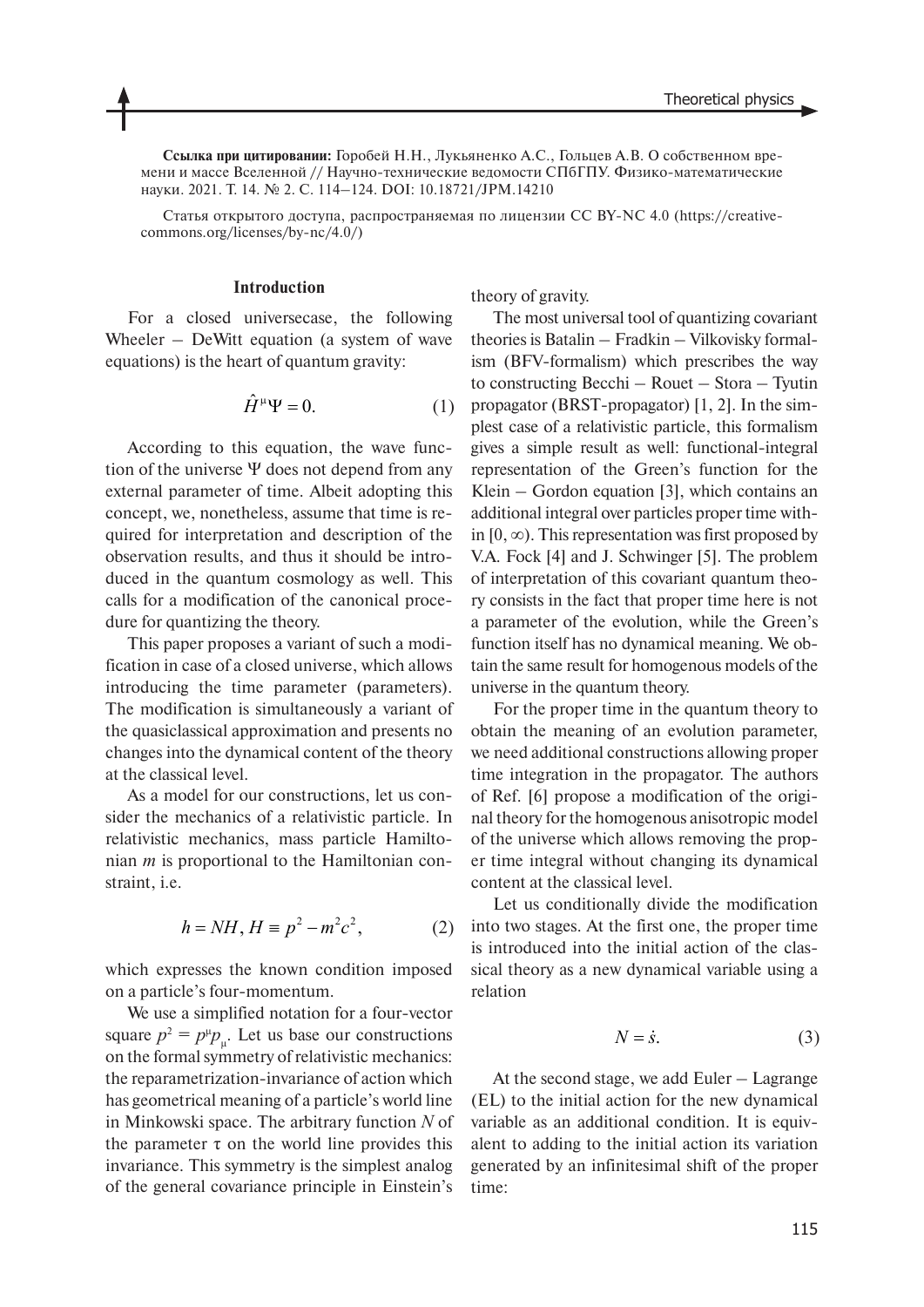**Ссылка при цитировании:** Горобей Н.Н., Лукьяненко А.С., Гольцев А.В. О собственном времени и массе Вселенной // Научно-технические ведомости СПбГПУ. Физико-математические науки. 2021. Т. 14. № 2. С. 114–124. DOI: 10.18721/JPM.14210

Статья открытого доступа, распространяемая по лицензии CC BY-NC 4.0 (https://creativecommons.org/licenses/by-nc/4.0/)

#### **Introduction**

For a closed universecase, the following Wheeler – DeWitt equation (a system of wave equations) is the heart of quantum gravity:

$$
\hat{H}^{\mu}\Psi = 0. \tag{1}
$$

According to this equation, the wave function of the universe Ψ does not depend from any external parameter of time. Albeit adopting this concept, we, nonetheless, assume that time is required for interpretation and description of the observation results, and thus it should be introduced in the quantum cosmology as well. This calls for a modification of the canonical procedure for quantizing the theory.

This paper proposes a variant of such a modification in case of a closed universe, which allows introducing the time parameter (parameters). The modification is simultaneously a variant of the quasiclassical approximation and presents no changes into the dynamical content of the theory at the classical level.

As a model for our constructions, let us consider the mechanics of a relativistic particle. In relativistic mechanics, mass particle Hamiltonian *m* is proportional to the Hamiltonian constraint, i.e.

$$
h = NH, H \equiv p^2 - m^2 c^2,
$$
 (2)

which expresses the known condition imposed on a particle's four-momentum.

We use a simplified notation for a four-vector square  $p^2 = p^{\mu}p_{\mu}$ . Let us base our constructions on the formal symmetry of relativistic mechanics: the reparametrization-invariance of action which has geometrical meaning of a particle's world line in Minkowski space. The arbitrary function *N* of the parameter  $\tau$  on the world line provides this invariance. This symmetry is the simplest analog of the general covariance principle in Einstein's

theory of gravity.

The most universal tool of quantizing covariant theories is Batalin – Fradkin – Vilkovisky formalism (BFV-formalism) which prescribes the way to constructing Becchi – Rouet – Stora – Tyutin propagator (BRST-propagator) [1, 2]. In the simplest case of a relativistic particle, this formalism gives a simple result as well: functional-integral representation of the Green's function for the Klein – Gordon equation [3], which contains an additional integral over particles proper time within  $[0, \infty)$ . This representation was first proposed by V.A. Fock [4] and J. Schwinger [5]. The problem of interpretation of this covariant quantum theory consists in the fact that proper time here is not a parameter of the evolution, while the Green's function itself has no dynamical meaning. We obtain the same result for homogenous models of the universe in the quantum theory.

For the proper time in the quantum theory to obtain the meaning of an evolution parameter, we need additional constructions allowing proper time integration in the propagator. The authors of Ref. [6] propose a modification of the original theory for the homogenous anisotropic model of the universe which allows removing the proper time integral without changing its dynamical content at the classical level.

Let us conditionally divide the modification into two stages. At the first one, the proper time is introduced into the initial action of the classical theory as a new dynamical variable using a relation

$$
N = \dot{s}.\tag{3}
$$

At the second stage, we add Euler – Lagrange (EL) to the initial action for the new dynamical variable as an additional condition. It is equivalent to adding to the initial action its variation generated by an infinitesimal shift of the proper time: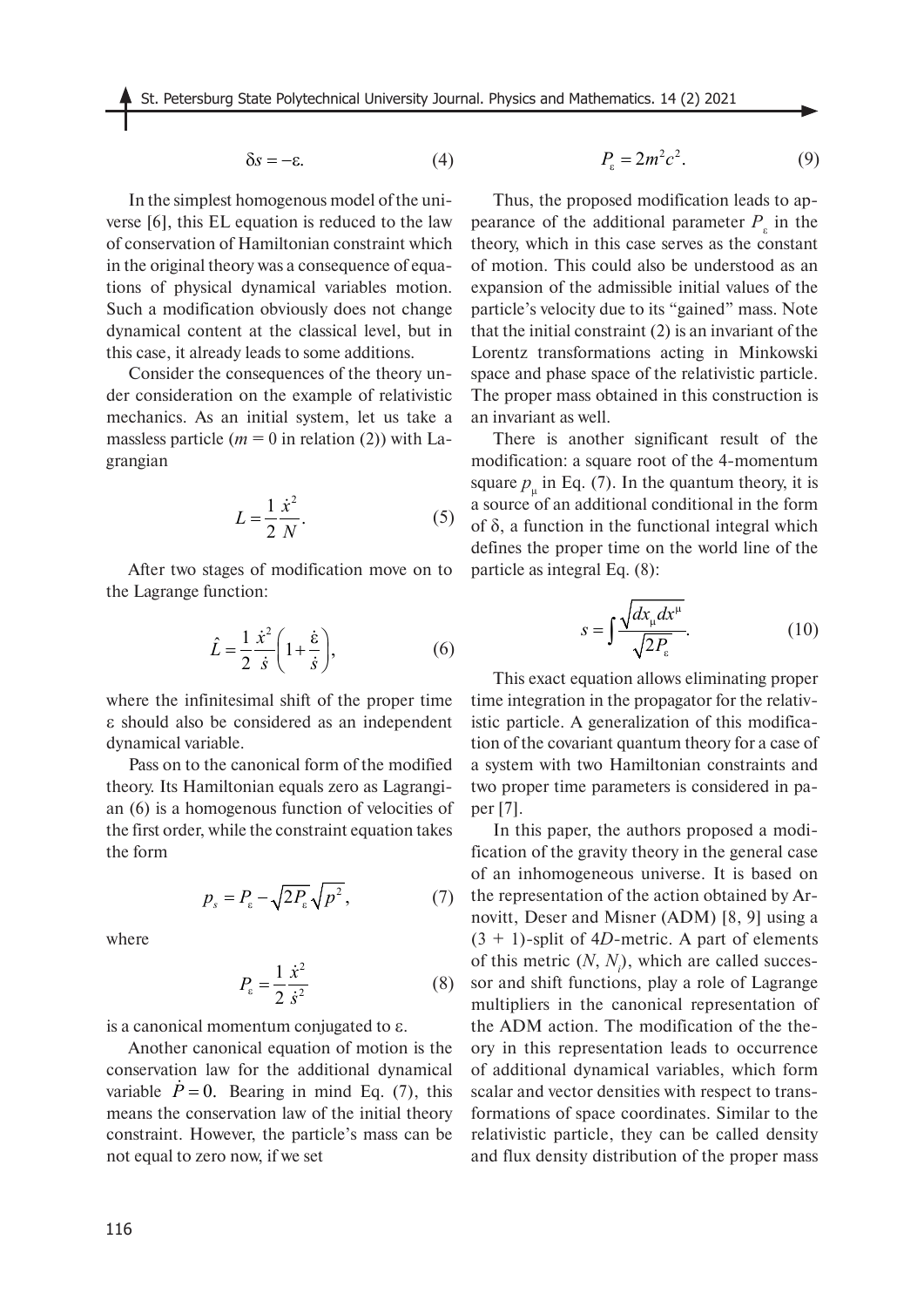$$
\delta s = -\varepsilon. \tag{4}
$$

In the simplest homogenous model of the universe [6], this EL equation is reduced to the law of conservation of Hamiltonian constraint which in the original theory was a consequence of equations of physical dynamical variables motion. Such a modification obviously does not change dynamical content at the classical level, but in this case, it already leads to some additions.

Consider the consequences of the theory under consideration on the example of relativistic mechanics. As an initial system, let us take a massless particle ( $m = 0$  in relation (2)) with Lagrangian

$$
L = \frac{1}{2} \frac{\dot{x}^2}{N}.
$$
\n<sup>(5)</sup>

After two stages of modification move on to the Lagrange function:

$$
\hat{L} = \frac{1}{2} \frac{\dot{x}^2}{\dot{s}} \left( 1 + \frac{\dot{\epsilon}}{\dot{s}} \right),\tag{6}
$$

where the infinitesimal shift of the proper time ε should also be considered as an independent dynamical variable.

Pass on to the canonical form of the modified theory. Its Hamiltonian equals zero as Lagrangian (6) is a homogenous function of velocities of the first order, while the constraint equation takes the form

$$
p_s = P_\varepsilon - \sqrt{2P_\varepsilon} \sqrt{p^2},\tag{7}
$$

where

$$
P_{\varepsilon} = \frac{1}{2} \frac{\dot{x}^2}{\dot{s}^2} \tag{8}
$$

is a canonical momentum conjugated to ε.

Another canonical equation of motion is the conservation law for the additional dynamical variable  $\dot{P} = 0$ . Bearing in mind Eq. (7), this means the conservation law of the initial theory constraint. However, the particle's mass can be not equal to zero now, if we set

$$
P_{\varepsilon} = 2m^2c^2. \tag{9}
$$

Thus, the proposed modification leads to appearance of the additional parameter  $P_{\varepsilon}$  in the theory, which in this case serves as the constant of motion. This could also be understood as an expansion of the admissible initial values of the particle's velocity due to its "gained" mass. Note that the initial constraint (2) is an invariant of the Lorentz transformations acting in Minkowski space and phase space of the relativistic particle. The proper mass obtained in this construction is an invariant as well.

There is another significant result of the modification: a square root of the 4-momentum square  $p_{\mu}$  in Eq. (7). In the quantum theory, it is a source of an additional conditional in the form of δ, a function in the functional integral which defines the proper time on the world line of the particle as integral Eq. (8):

$$
s = \int \frac{\sqrt{dx_{\mu}dx^{\mu}}}{\sqrt{2P_{\epsilon}}}.\tag{10}
$$

This exact equation allows eliminating proper time integration in the propagator for the relativistic particle. A generalization of this modification of the covariant quantum theory for a case of a system with two Hamiltonian constraints and two proper time parameters is considered in paper [7].

In this paper, the authors proposed a modification of the gravity theory in the general case of an inhomogeneous universe. It is based on the representation of the action obtained by Arnovitt, Deser and Misner (ADM) [8, 9] using a  $(3 + 1)$ -split of 4*D*-metric. A part of elements of this metric  $(N, N<sub>i</sub>)$ , which are called successor and shift functions, play a role of Lagrange multipliers in the canonical representation of the ADM action. The modification of the theory in this representation leads to occurrence of additional dynamical variables, which form scalar and vector densities with respect to transformations of space coordinates. Similar to the relativistic particle, they can be called density and flux density distribution of the proper mass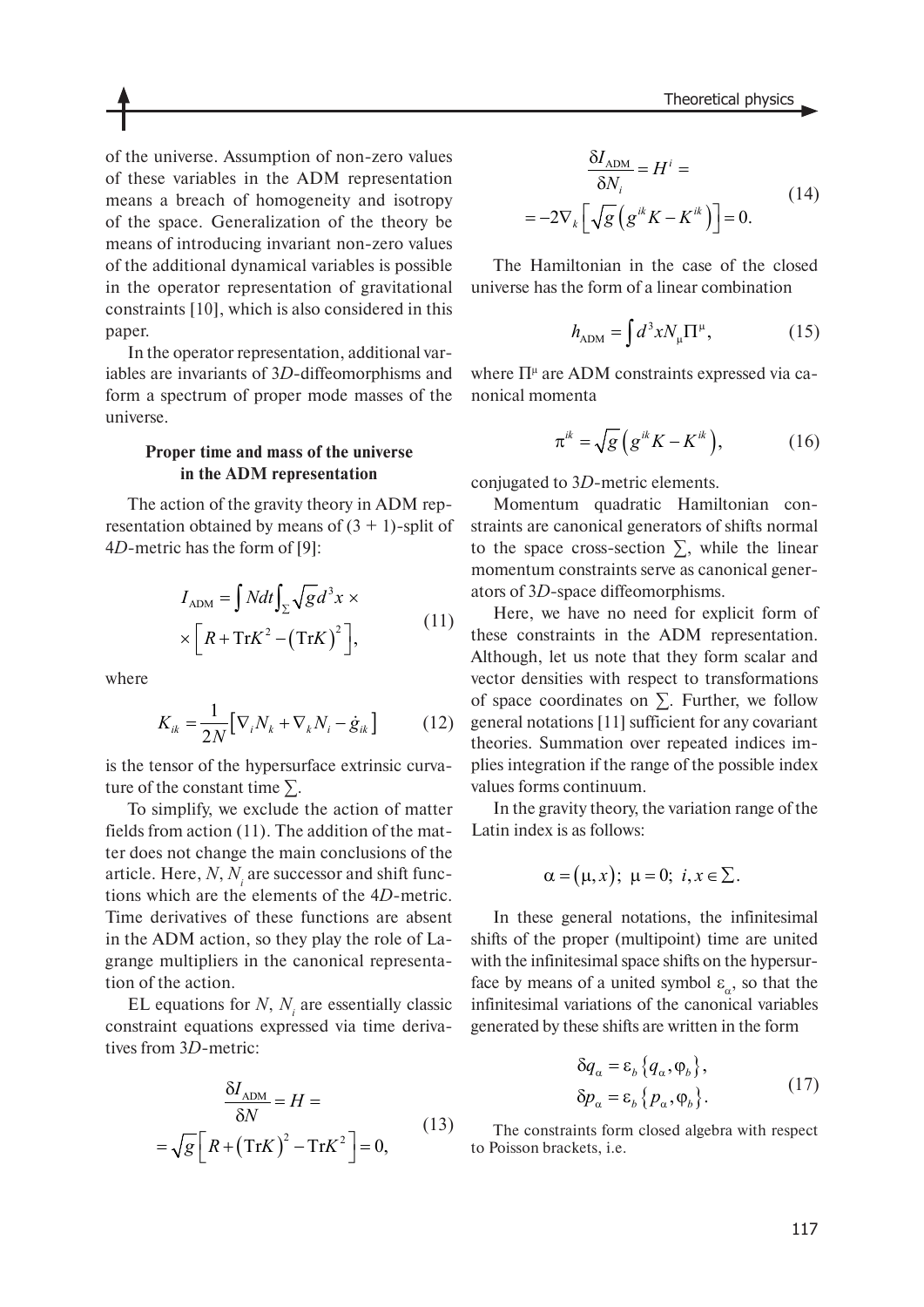of the universe. Assumption of non-zero values of these variables in the ADM representation means a breach of homogeneity and isotropy of the space. Generalization of the theory be means of introducing invariant non-zero values of the additional dynamical variables is possible in the operator representation of gravitational constraints [10], which is also considered in this paper.

In the operator representation, additional variables are invariants of 3*D*-diffeomorphisms and form a spectrum of proper mode masses of the universe.

# **Proper time and mass of the universe in the ADM representation**

The action of the gravity theory in ADM representation obtained by means of  $(3 + 1)$ -split of 4*D*-metric has the form of [9]:

$$
I_{\text{ADM}} = \int Ndt \int_{\Sigma} \sqrt{g} d^3 x \times
$$
  
 
$$
\times \left[ R + \text{Tr} K^2 - (\text{Tr} K)^2 \right],
$$
 (11)

where

$$
K_{ik} = \frac{1}{2N} \big[ \nabla_i N_k + \nabla_k N_i - \dot{g}_{ik} \big] \tag{12}
$$

is the tensor of the hypersurface extrinsic curvature of the constant time  $\Sigma$ .

To simplify, we exclude the action of matter fields from action (11). The addition of the matter does not change the main conclusions of the article. Here,  $N$ ,  $N_{i}$  are successor and shift functions which are the elements of the 4*D*-metric. Time derivatives of these functions are absent in the ADM action, so they play the role of Lagrange multipliers in the canonical representation of the action.

EL equations for  $N$ ,  $N<sub>i</sub>$  are essentially classic constraint equations expressed via time derivatives from 3*D*-metric:

$$
\frac{\delta I_{\text{ADM}}}{\delta N} = H =
$$
  
=  $\sqrt{g} \left[ R + (\text{Tr}K)^2 - \text{Tr}K^2 \right] = 0,$  (13)

$$
\frac{\delta I_{\text{ADM}}}{\delta N_i} = H^i =
$$
  
=  $-2\nabla_k \left[ \sqrt{g} \left( g^{ik} K - K^{ik} \right) \right] = 0.$  (14)

The Hamiltonian in the case of the closed universe has the form of a linear combination

$$
h_{\rm ADM} = \int d^3x N_{\mu} \Pi^{\mu},\qquad (15)
$$

where  $\Pi^{\mu}$  are ADM constraints expressed via canonical momenta

$$
\pi^{ik} = \sqrt{g} \left( g^{ik} K - K^{ik} \right), \tag{16}
$$

conjugated to 3*D*-metric elements.

Momentum quadratic Hamiltonian constraints are canonical generators of shifts normal to the space cross-section  $\Sigma$ , while the linear momentum constraints serve as canonical generators of 3*D*-space diffeomorphisms.

Here, we have no need for explicit form of these constraints in the ADM representation. Although, let us note that they form scalar and vector densities with respect to transformations of space coordinates on ∑. Further, we follow general notations [11] sufficient for any covariant theories. Summation over repeated indices implies integration if the range of the possible index values forms continuum.

In the gravity theory, the variation range of the Latin index is as follows:

$$
\alpha = (\mu, x); \ \mu = 0; \ i, x \in \Sigma.
$$

In these general notations, the infinitesimal shifts of the proper (multipoint) time are united with the infinitesimal space shifts on the hypersurface by means of a united symbol  $\varepsilon_{\alpha}$ , so that the infinitesimal variations of the canonical variables generated by these shifts are written in the form

$$
\delta q_{\alpha} = \varepsilon_{b} \{q_{\alpha}, \varphi_{b}\},
$$
  
\n
$$
\delta p_{\alpha} = \varepsilon_{b} \{p_{\alpha}, \varphi_{b}\}.
$$
\n(17)

The constraints form closed algebra with respect to Poisson brackets, i.e.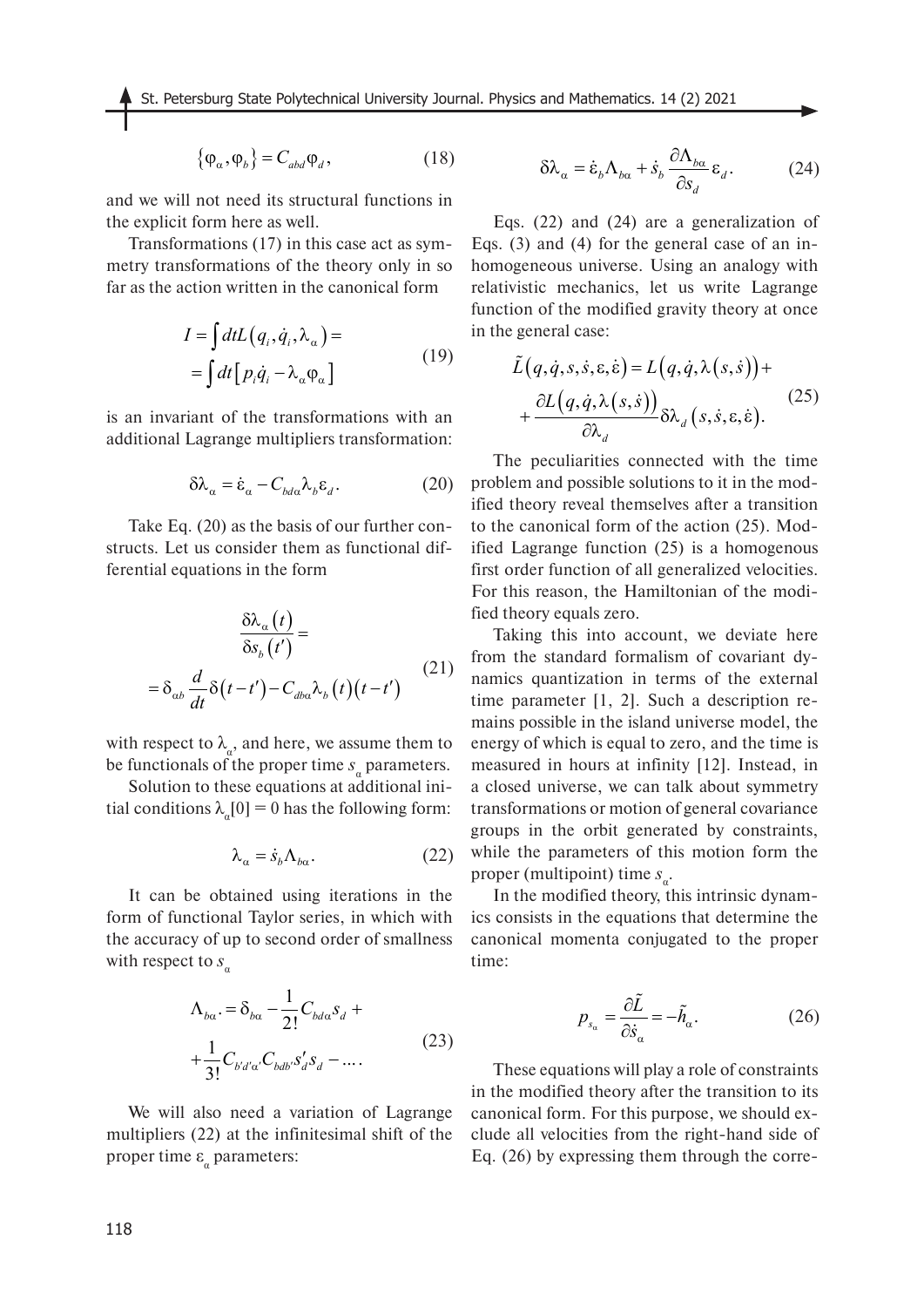$$
\{\varphi_{\alpha}, \varphi_{b}\} = C_{abd} \varphi_{d}, \qquad (18)
$$

and we will not need its structural functions in the explicit form here as well.

Transformations (17) in this case act as symmetry transformations of the theory only in so far as the action written in the canonical form

$$
I = \int dt L (q_i, \dot{q}_i, \lambda_\alpha) =
$$
  
= 
$$
\int dt [p_i \dot{q}_i - \lambda_\alpha \varphi_\alpha]
$$
 (19)

is an invariant of the transformations with an additional Lagrange multipliers transformation:

$$
\delta \lambda_{\alpha} = \dot{\varepsilon}_{\alpha} - C_{bda} \lambda_b \varepsilon_d. \tag{20}
$$

Take Eq. (20) as the basis of our further constructs. Let us consider them as functional differential equations in the form

$$
\frac{\delta \lambda_{\alpha}(t)}{\delta s_{b}(t')} =
$$
  
=  $\delta_{\alpha b} \frac{d}{dt} \delta(t-t') - C_{db\alpha} \lambda_{b}(t)(t-t')$  (21)

with respect to  $\lambda_a$ , and here, we assume them to be functionals of the proper time  $s_a$  parameters.

Solution to these equations at additional initial conditions  $\lambda_{\alpha}[0] = 0$  has the following form:

$$
\lambda_{\alpha} = \dot{s}_{b} \Lambda_{b\alpha}.
$$
 (22)

It can be obtained using iterations in the form of functional Taylor series, in which with the accuracy of up to second order of smallness with respect to  $s_a$ 

$$
\Lambda_{b\alpha} = \delta_{b\alpha} - \frac{1}{2!} C_{b d\alpha} s_d +
$$
  
+ 
$$
\frac{1}{3!} C_{b' d' \alpha'} C_{b d b'} s'_d s_d - \dots
$$
 (23)

We will also need a variation of Lagrange multipliers (22) at the infinitesimal shift of the proper time  $\varepsilon_{\alpha}$  parameters:

$$
\delta \lambda_{\alpha} = \dot{\varepsilon}_{b} \Lambda_{b\alpha} + \dot{s}_{b} \frac{\partial \Lambda_{b\alpha}}{\partial s_{d}} \varepsilon_{d}.
$$
 (24)

Eqs. (22) and (24) are a generalization of Eqs. (3) and (4) for the general case of an inhomogeneous universe. Using an analogy with relativistic mechanics, let us write Lagrange function of the modified gravity theory at once in the general case:

$$
\tilde{L}(q, \dot{q}, s, \dot{s}, \varepsilon, \dot{\varepsilon}) = L(q, \dot{q}, \lambda(s, \dot{s})) + \n+ \frac{\partial L(q, \dot{q}, \lambda(s, \dot{s}))}{\partial \lambda_d} \delta \lambda_d(s, \dot{s}, \varepsilon, \dot{\varepsilon}).
$$
\n(25)

The peculiarities connected with the time problem and possible solutions to it in the modified theory reveal themselves after a transition to the canonical form of the action (25). Modified Lagrange function (25) is a homogenous first order function of all generalized velocities. For this reason, the Hamiltonian of the modified theory equals zero.

Taking this into account, we deviate here from the standard formalism of covariant dynamics quantization in terms of the external time parameter [1, 2]. Such a description remains possible in the island universe model, the energy of which is equal to zero, and the time is measured in hours at infinity [12]. Instead, in a closed universe, we can talk about symmetry transformations or motion of general covariance groups in the orbit generated by constraints, while the parameters of this motion form the proper (multipoint) time *s*<sub>α</sub>.

In the modified theory, this intrinsic dynamics consists in the equations that determine the canonical momenta conjugated to the proper time:

$$
p_{s_{\alpha}} = \frac{\partial \tilde{L}}{\partial \dot{s}_{\alpha}} = -\tilde{h}_{\alpha}.
$$
 (26)

These equations will play a role of constraints in the modified theory after the transition to its canonical form. For this purpose, we should exclude all velocities from the right-hand side of Eq. (26) by expressing them through the corre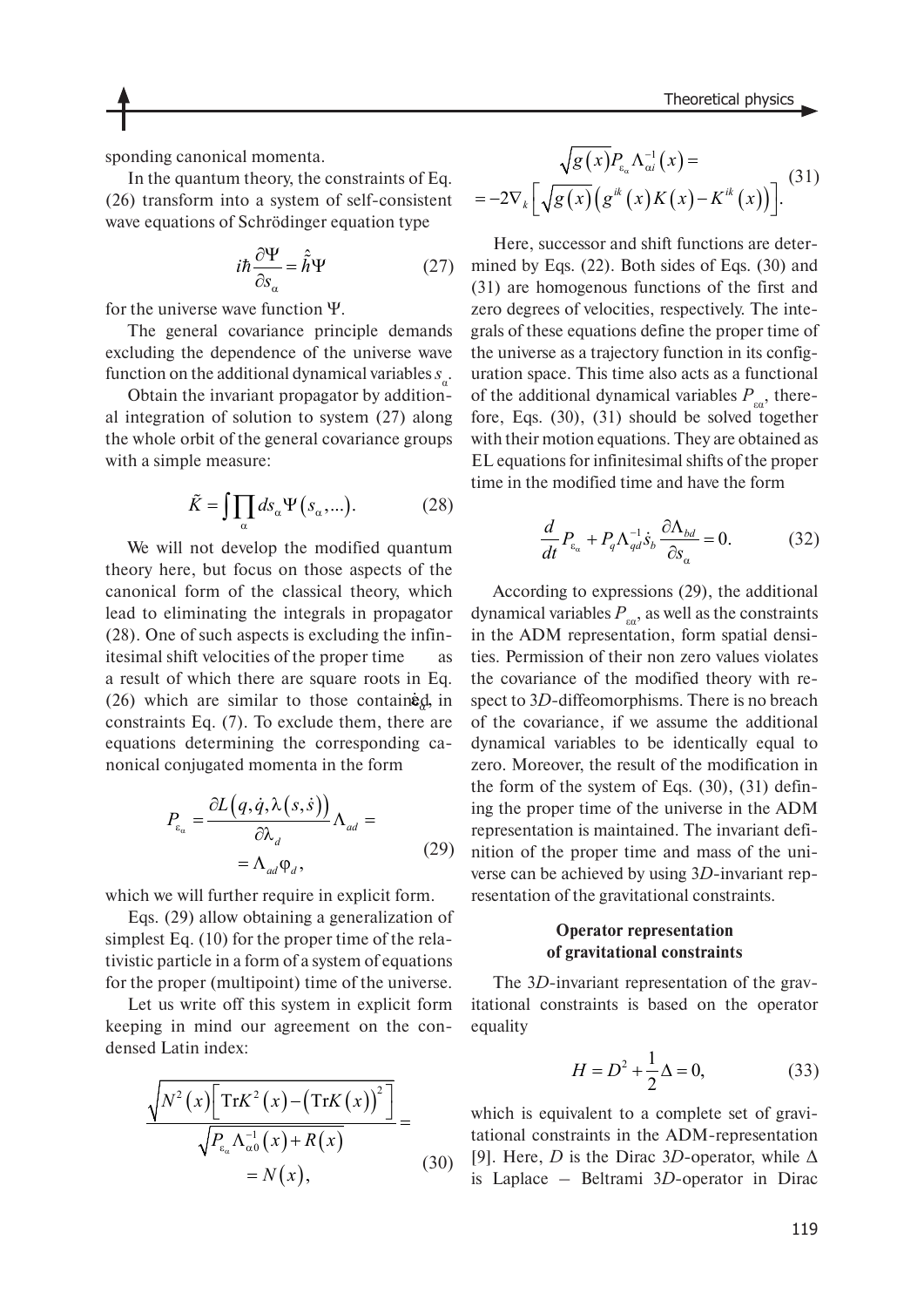sponding canonical momenta.

In the quantum theory, the constraints of Eq. (26) transform into a system of self-consistent wave equations of Schrödinger equation type

$$
i\hbar \frac{\partial \Psi}{\partial s_{\alpha}} = \hat{h} \Psi \tag{27}
$$

for the universe wave function Ψ.

The general covariance principle demands excluding the dependence of the universe wave function on the additional dynamical variables  $s_{\alpha}$ .

Obtain the invariant propagator by additional integration of solution to system (27) along the whole orbit of the general covariance groups with a simple measure:

$$
\tilde{K} = \iiint_{\alpha} ds_{\alpha} \Psi(s_{\alpha}, \ldots). \tag{28}
$$

We will not develop the modified quantum theory here, but focus on those aspects of the canonical form of the classical theory, which lead to eliminating the integrals in propagator (28). One of such aspects is excluding the infinitesimal shift velocities of the proper time as a result of which there are square roots in Eq. (26) which are similar to those contained, in constraints Eq. (7). To exclude them, there are equations determining the corresponding canonical conjugated momenta in the form

$$
P_{\varepsilon_{\alpha}} = \frac{\partial L(q, \dot{q}, \lambda(s, \dot{s}))}{\partial \lambda_d} \Lambda_{ad} =
$$
  
=  $\Lambda_{ad} \varphi_d$ , (29)

which we will further require in explicit form.

Eqs. (29) allow obtaining a generalization of simplest Eq. (10) for the proper time of the relativistic particle in a form of a system of equations for the proper (multipoint) time of the universe.

Let us write off this system in explicit form keeping in mind our agreement on the condensed Latin index:

$$
\frac{\sqrt{N^2(x)\left[\text{Tr}K^2(x) - (\text{Tr}K(x))^2\right]}}{\sqrt{P_{\varepsilon_\alpha}\Lambda_{\alpha 0}^{-1}(x) + R(x)}} =
$$
\n
$$
= N(x), \tag{30}
$$

$$
\sqrt{g(x)}P_{\varepsilon_a}\Lambda_{\alpha i}^{-1}(x) = -2\nabla_k \left[\sqrt{g(x)}\left(g^{ik}(x)K(x)-K^{ik}(x)\right)\right].
$$
\n(31)

Here, successor and shift functions are determined by Eqs. (22). Both sides of Eqs. (30) and (31) are homogenous functions of the first and zero degrees of velocities, respectively. The integrals of these equations define the proper time of the universe as a trajectory function in its configuration space. This time also acts as a functional of the additional dynamical variables  $P_{\alpha}$ , therefore, Eqs. (30), (31) should be solved together with their motion equations. They are obtained as EL equations for infinitesimal shifts of the proper time in the modified time and have the form

$$
\frac{d}{dt}P_{\varepsilon_{\alpha}} + P_q \Lambda_{qd}^{-1} \dot{S}_b \frac{\partial \Lambda_{bd}}{\partial S_{\alpha}} = 0.
$$
 (32)

According to expressions (29), the additional dynamical variables  $P_{\text{eq}}$ , as well as the constraints in the ADM representation, form spatial densities. Permission of their non zero values violates the covariance of the modified theory with respect to 3*D*-diffeomorphisms. There is no breach of the covariance, if we assume the additional dynamical variables to be identically equal to zero. Moreover, the result of the modification in the form of the system of Eqs. (30), (31) defining the proper time of the universe in the ADM representation is maintained. The invariant definition of the proper time and mass of the universe can be achieved by using 3*D*-invariant representation of the gravitational constraints.

# **Operator representation of gravitational constraints**

The 3*D*-invariant representation of the gravitational constraints is based on the operator equality

$$
H = D^2 + \frac{1}{2}\Delta = 0,
$$
 (33)

which is equivalent to a complete set of gravitational constraints in the ADM-representation [9]. Here, *D* is the Dirac 3*D*-operator, while  $\Delta$ is Laplace – Beltrami 3*D*-operator in Dirac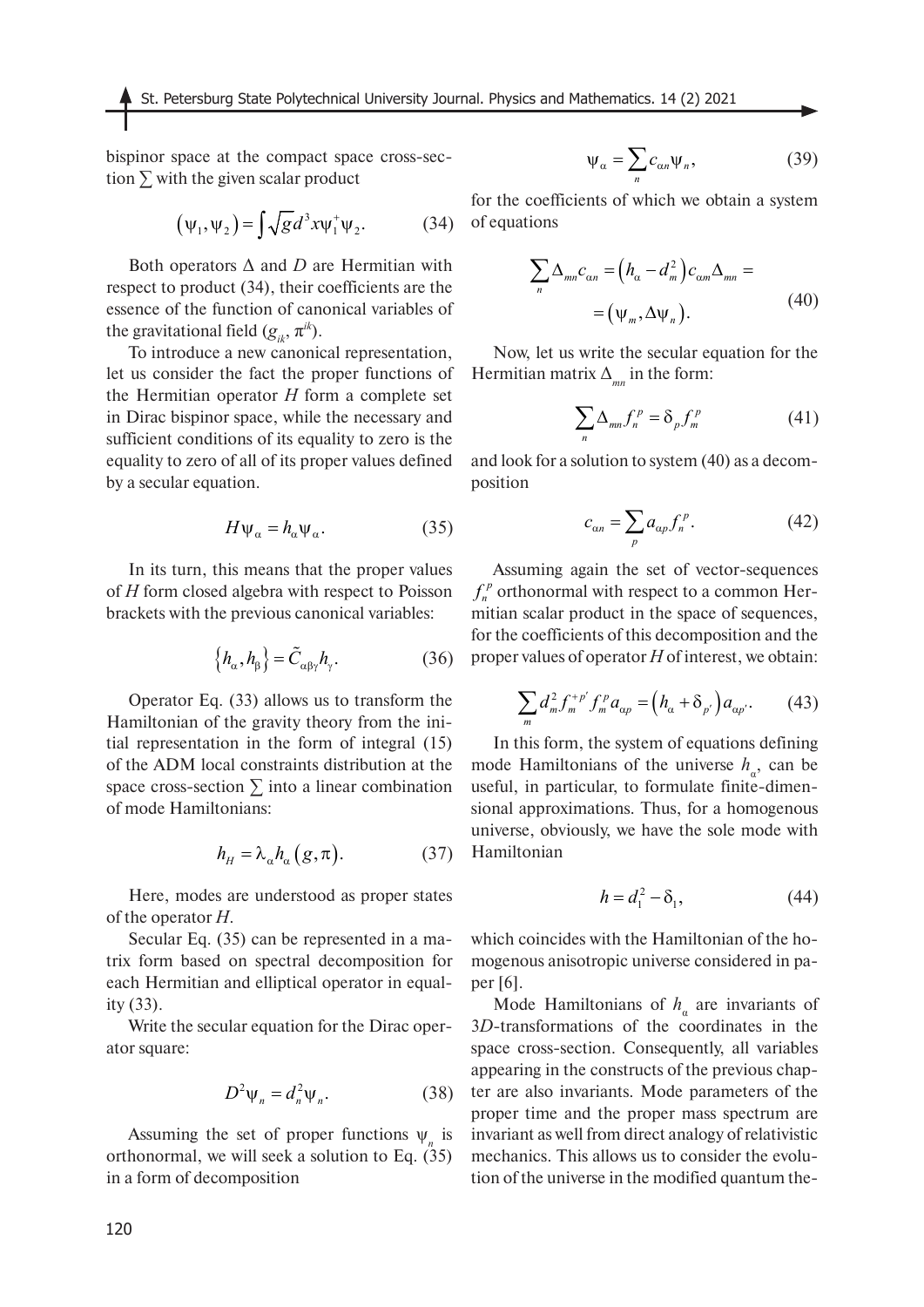St. Petersburg State Polytechnical University Journal. Physics and Mathematics. 14 (2) 2021

bispinor space at the compact space cross-section  $\Sigma$  with the given scalar product

$$
\left(\psi_1,\psi_2\right) = \int \sqrt{g} d^3 x \psi_1^+ \psi_2. \tag{34}
$$

Both operators Δ and *D* are Hermitian with respect to product (34), their coefficients are the essence of the function of canonical variables of the gravitational field  $(g_{ik}, \pi^{ik})$ .

To introduce a new canonical representation, let us consider the fact the proper functions of the Hermitian operator *H* form a complete set in Dirac bispinor space, while the necessary and sufficient conditions of its equality to zero is the equality to zero of all of its proper values defined by a secular equation.

$$
H\psi_{\alpha} = h_{\alpha}\psi_{\alpha}.
$$
 (35)

In its turn, this means that the proper values of *H* form closed algebra with respect to Poisson brackets with the previous canonical variables:

$$
\left\{ h_{\alpha}, h_{\beta} \right\} = \tilde{C}_{\alpha\beta\gamma} h_{\gamma}.
$$
 (36)

Operator Eq. (33) allows us to transform the Hamiltonian of the gravity theory from the initial representation in the form of integral (15) of the ADM local constraints distribution at the space cross-section  $\Sigma$  into a linear combination of mode Hamiltonians:

$$
h_H = \lambda_\alpha h_\alpha(g, \pi). \tag{37}
$$

Here, modes are understood as proper states of the operator *H*.

Secular Eq. (35) can be represented in a matrix form based on spectral decomposition for each Hermitian and elliptical operator in equality (33).

Write the secular equation for the Dirac operator square:

$$
D^2 \Psi_n = d_n^2 \Psi_n. \tag{38}
$$

Assuming the set of proper functions  $\psi_n$  is orthonormal, we will seek a solution to Eq. (35) in a form of decomposition

$$
\Psi_{\alpha} = \sum_{n} c_{\alpha n} \Psi_{n}, \qquad (39)
$$

for the coefficients of which we obtain a system of equations

$$
\sum_{n} \Delta_{mn} c_{\alpha n} = \left(h_{\alpha} - d_{m}^{2}\right) c_{\alpha m} \Delta_{mn} =
$$
  
=  $\left(\psi_{m}, \Delta \psi_{n}\right).$  (40)

Now, let us write the secular equation for the Hermitian matrix  $\Delta_{mn}$  in the form:

$$
\sum_{n} \Delta_{mn} f_n^p = \delta_p f_m^p \tag{41}
$$

and look for a solution to system (40) as a decomposition

$$
c_{\alpha n} = \sum_{p} a_{\alpha p} f_n^p. \tag{42}
$$

Assuming again the set of vector-sequences  $f_n^p$  orthonormal with respect to a common Hermitian scalar product in the space of sequences, for the coefficients of this decomposition and the proper values of operator *H* of interest, we obtain:

$$
\sum_{m} d_{m}^{2} f_{m}^{+p'} f_{m}^{p} a_{\alpha p} = (h_{\alpha} + \delta_{p'}) a_{\alpha p'}.
$$
 (43)

In this form, the system of equations defining mode Hamiltonians of the universe  $h_{\alpha}$ , can be useful, in particular, to formulate finite-dimensional approximations. Thus, for a homogenous universe, obviously, we have the sole mode with Hamiltonian

$$
h = d_1^2 - \delta_1,\tag{44}
$$

which coincides with the Hamiltonian of the homogenous anisotropic universe considered in paper [6].

Mode Hamiltonians of  $h_{\alpha}$  are invariants of 3*D*-transformations of the coordinates in the space cross-section. Consequently, all variables appearing in the constructs of the previous chapter are also invariants. Mode parameters of the proper time and the proper mass spectrum are invariant as well from direct analogy of relativistic mechanics. This allows us to consider the evolution of the universe in the modified quantum the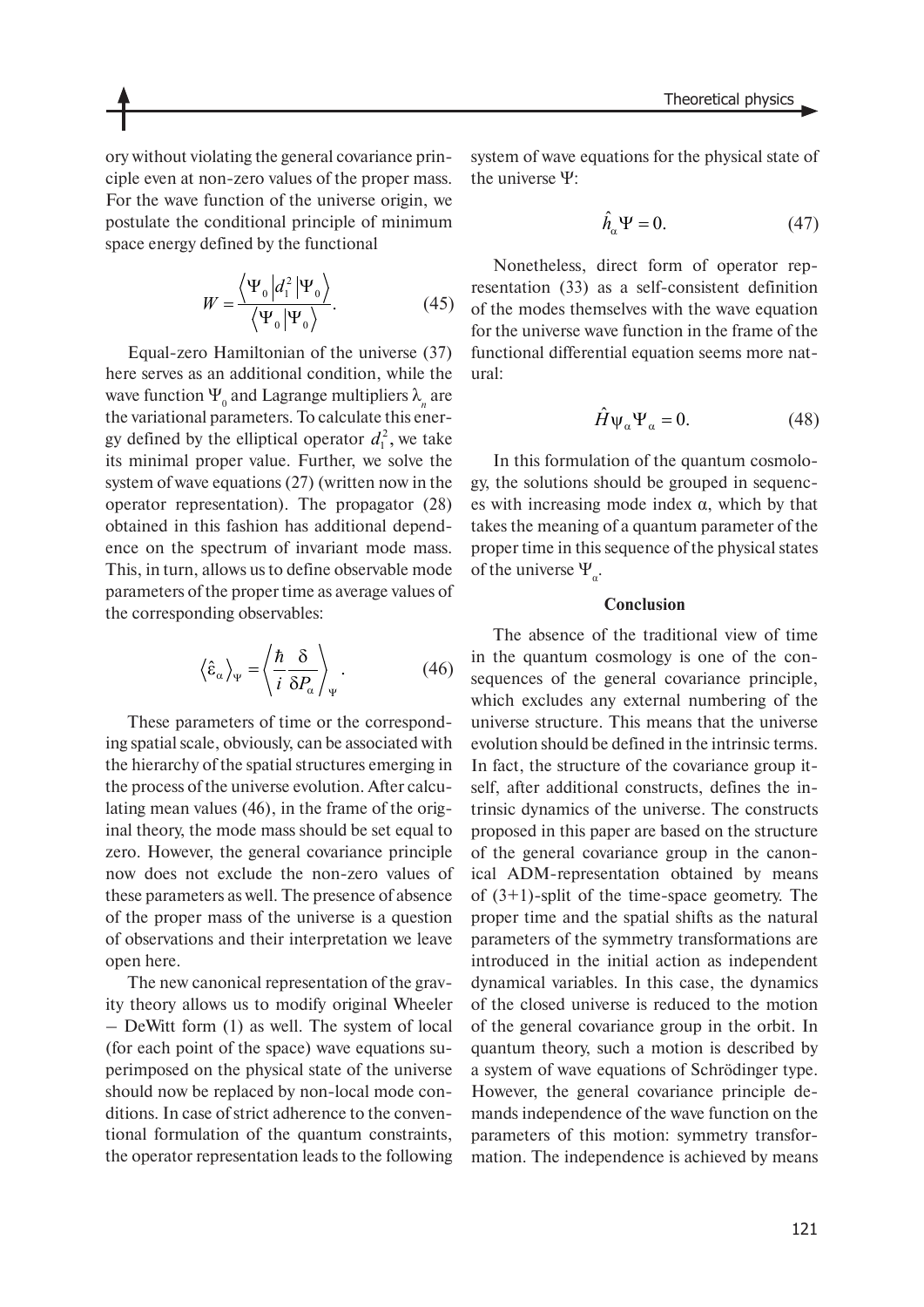ory without violating the general covariance principle even at non-zero values of the proper mass. For the wave function of the universe origin, we postulate the conditional principle of minimum space energy defined by the functional

$$
W = \frac{\langle \Psi_0 | d_1^2 | \Psi_0 \rangle}{\langle \Psi_0 | \Psi_0 \rangle}.
$$
 (45)

Equal-zero Hamiltonian of the universe (37) here serves as an additional condition, while the wave function  $\Psi_{\scriptscriptstyle 0}$  and Lagrange multipliers  $\lambda_{\scriptscriptstyle n}$  are the variational parameters. To calculate this energy defined by the elliptical operator  $d_1^2$ , we take its minimal proper value. Further, we solve the system of wave equations (27) (written now in the operator representation). The propagator (28) obtained in this fashion has additional dependence on the spectrum of invariant mode mass. This, in turn, allows us to define observable mode parameters of the proper time as average values of the corresponding observables:

$$
\left\langle \hat{\varepsilon}_{\alpha} \right\rangle_{\Psi} = \left\langle \frac{\hbar}{i} \frac{\delta}{\delta P_{\alpha}} \right\rangle_{\Psi} . \tag{46}
$$

These parameters of time or the corresponding spatial scale, obviously, can be associated with the hierarchy of the spatial structures emerging in the process of the universe evolution. After calculating mean values (46), in the frame of the original theory, the mode mass should be set equal to zero. However, the general covariance principle now does not exclude the non-zero values of these parameters as well. The presence of absence of the proper mass of the universe is a question of observations and their interpretation we leave open here.

The new canonical representation of the gravity theory allows us to modify original Wheeler – DeWitt form (1) as well. The system of local (for each point of the space) wave equations superimposed on the physical state of the universe should now be replaced by non-local mode conditions. In case of strict adherence to the conventional formulation of the quantum constraints, the operator representation leads to the following system of wave equations for the physical state of the universe Ψ:

$$
\hat{h}_{\alpha}\Psi = 0. \tag{47}
$$

Nonetheless, direct form of operator representation (33) as a self-consistent definition of the modes themselves with the wave equation for the universe wave function in the frame of the functional differential equation seems more natural:

$$
\hat{H}\Psi_{\alpha}\Psi_{\alpha} = 0. \tag{48}
$$

In this formulation of the quantum cosmology, the solutions should be grouped in sequences with increasing mode index  $\alpha$ , which by that takes the meaning of a quantum parameter of the proper time in this sequence of the physical states of the universe  $\Psi_{\alpha}$ .

#### **Conclusion**

The absence of the traditional view of time in the quantum cosmology is one of the consequences of the general covariance principle, which excludes any external numbering of the universe structure. This means that the universe evolution should be defined in the intrinsic terms. In fact, the structure of the covariance group itself, after additional constructs, defines the intrinsic dynamics of the universe. The constructs proposed in this paper are based on the structure of the general covariance group in the canonical ADM-representation obtained by means of (3+1)-split of the time-space geometry. The proper time and the spatial shifts as the natural parameters of the symmetry transformations are introduced in the initial action as independent dynamical variables. In this case, the dynamics of the closed universe is reduced to the motion of the general covariance group in the orbit. In quantum theory, such a motion is described by a system of wave equations of Schrödinger type. However, the general covariance principle demands independence of the wave function on the parameters of this motion: symmetry transformation. The independence is achieved by means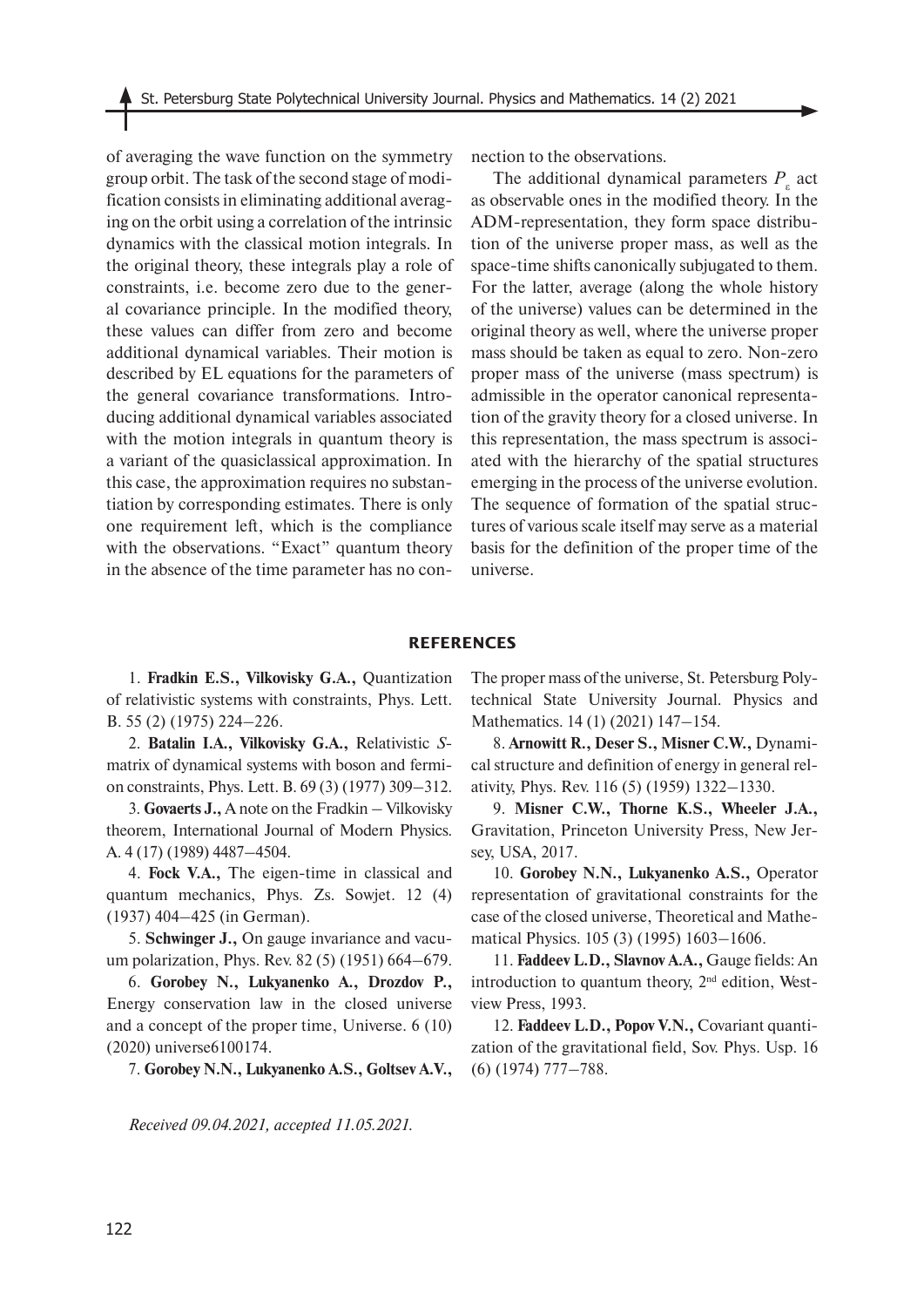of averaging the wave function on the symmetry group orbit. The task of the second stage of modification consists in eliminating additional averaging on the orbit using a correlation of the intrinsic dynamics with the classical motion integrals. In the original theory, these integrals play a role of constraints, i.e. become zero due to the general covariance principle. In the modified theory, these values can differ from zero and become additional dynamical variables. Their motion is described by EL equations for the parameters of the general covariance transformations. Introducing additional dynamical variables associated with the motion integrals in quantum theory is a variant of the quasiclassical approximation. In this case, the approximation requires no substantiation by corresponding estimates. There is only one requirement left, which is the compliance with the observations. "Exact" quantum theory in the absence of the time parameter has no connection to the observations.

The additional dynamical parameters  $P_{\varepsilon}$  act as observable ones in the modified theory. In the ADM-representation, they form space distribution of the universe proper mass, as well as the space-time shifts canonically subjugated to them. For the latter, average (along the whole history of the universe) values can be determined in the original theory as well, where the universe proper mass should be taken as equal to zero. Non-zero proper mass of the universe (mass spectrum) is admissible in the operator canonical representation of the gravity theory for a closed universe. In this representation, the mass spectrum is associated with the hierarchy of the spatial structures emerging in the process of the universe evolution. The sequence of formation of the spatial structures of various scale itself may serve as a material basis for the definition of the proper time of the universe.

#### **REFERENCES**

1. **Fradkin E.S., Vilkovisky G.A.,** Quantization of relativistic systems with constraints, Phys. Lett. B. 55 (2) (1975) 224–226.

2. **Batalin I.A., Vilkovisky G.A.,** Relativistic *S*matrix of dynamical systems with boson and fermion constraints, Phys. Lett. B. 69 (3) (1977) 309–312.

3. **Govaerts J.,** A note on the Fradkin – Vilkovisky theorem, International Journal of Modern Physics. A. 4 (17) (1989) 4487–4504.

4. **Fock V.A.,** The eigen-time in classical and quantum mechanics, Phys. Zs. Sowjet. 12 (4) (1937) 404–425 (in German).

5. **Schwinger J.,** On gauge invariance and vacuum polarization, Phys. Rev. 82 (5) (1951) 664–679.

6. **Gorobey N., Lukyanenko A., Drozdov P.,** Energy conservation law in the closed universe and a concept of the proper time, Universe. 6 (10) (2020) universe6100174.

7. **Gorobey N.N., Lukyanenko A.S., Goltsev A.V.,**

The proper mass of the universe, St. Petersburg Polytechnical State University Journal. Physics and Mathematics. 14 (1) (2021) 147–154.

8. **Arnowitt R., Deser S., Misner C.W.,** Dynamical structure and definition of energy in general relativity, Phys. Rev. 116 (5) (1959) 1322–1330.

9. **Misner C.W., Thorne K.S., Wheeler J.A.,**  Gravitation, Princeton University Press, New Jersey, USA, 2017.

10. **Gorobey N.N., Lukyanenko A.S.,** Operator representation of gravitational constraints for the case of the closed universe, Theoretical and Mathematical Physics. 105 (3) (1995) 1603–1606.

11. **Faddeev L.D., Slavnov A.A.,** Gauge fields: An introduction to quantum theory, 2<sup>nd</sup> edition, Westview Press, 1993.

12. **Faddeev L.D., Popov V.N.,** Covariant quantization of the gravitational field, Sov. Phys. Usp. 16 (6) (1974) 777–788.

*Received 09.04.2021, accepted 11.05.2021.*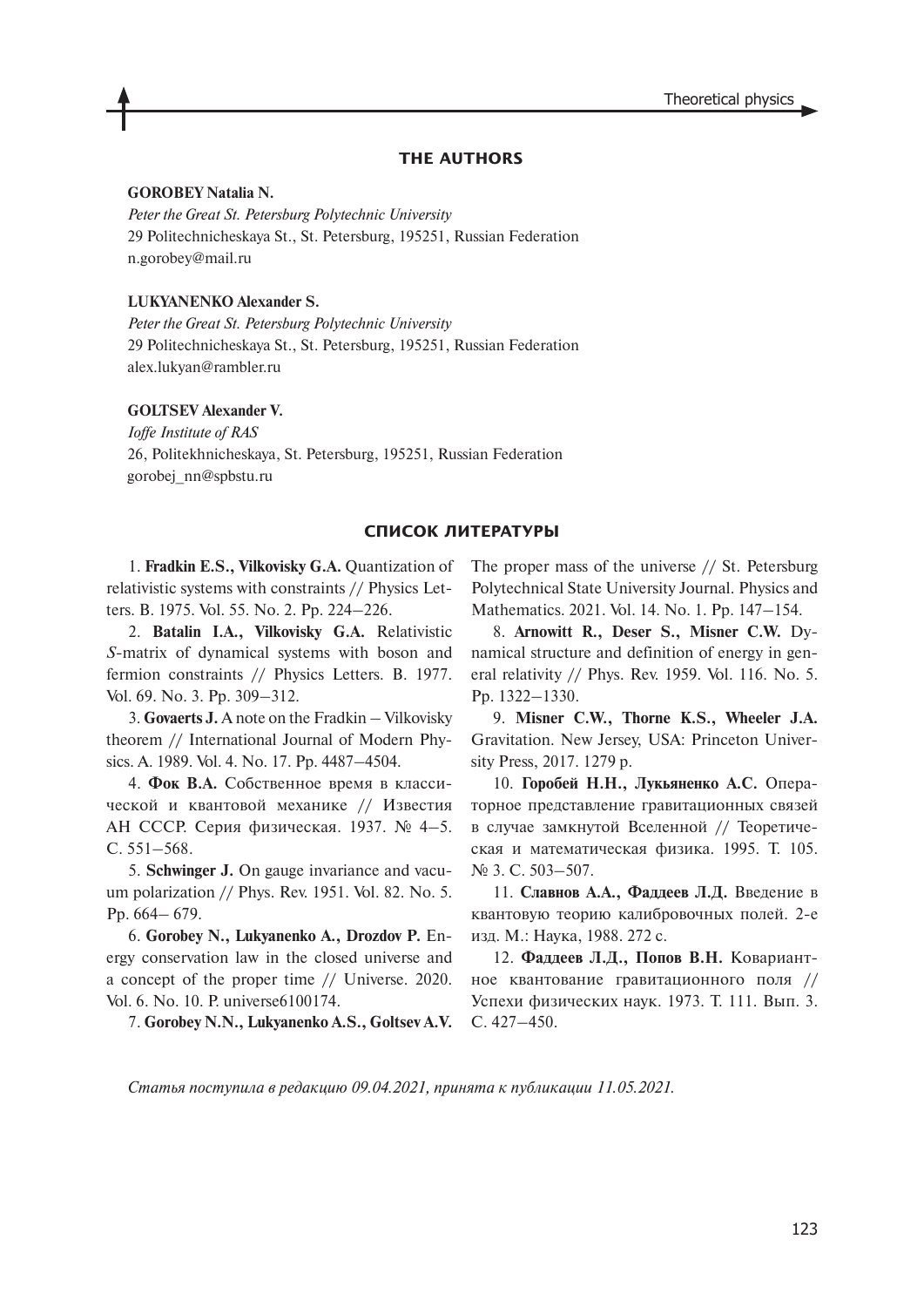## **THE AUTHORS**

# **GOROBEY Natalia N.**

*Peter the Great St. Petersburg Polytechnic University* 29 Politechnicheskaya St., St. Petersburg, 195251, Russian Federation n.gorobey@mail.ru

# **LUKYANENKO Alexander S.**

*Peter the Great St. Petersburg Polytechnic University* 29 Politechnicheskaya St., St. Petersburg, 195251, Russian Federation alex.lukyan@rambler.ru

### **GOLTSEV Alexander V.**

*Ioffe Institute of RAS* 26, Politekhnicheskaya, St. Petersburg, 195251, Russian Federation gorobej\_nn@spbstu.ru

#### **СПИСОК ЛИТЕРАТУРЫ**

1. **Fradkin E.S., Vilkovisky G.A.** Quantization of relativistic systems with constraints // Physics Letters. B. 1975. Vol. 55. No. 2. Pp. 224–226.

2. **Batalin I.A., Vilkovisky G.A.** Relativistic *S*-matrix of dynamical systems with boson and fermion constraints // Physics Letters. B. 1977. Vol. 69. No. 3. Pp. 309–312.

3. **Govaerts J.** A note on the Fradkin – Vilkovisky theorem // International Journal of Modern Physics. A. 1989. Vol. 4. No. 17. Pp. 4487–4504.

4. **Фок В.А.** Собственное время в классической и квантовой механике // Известия АН СССР. Серия физическая. 1937. № 4–5. С. 551–568.

5. **Schwinger J.** On gauge invariance and vacuum polarization // Phys. Rev. 1951. Vol. 82. No. 5. Pp. 664– 679.

6. **Gorobey N., Lukyanenko A., Drozdov P.** Energy conservation law in the closed universe and a concept of the proper time // Universe. 2020. Vol. 6. No. 10. P. universe6100174.

7. **Gorobey N.N., Lukyanenko A.S., Goltsev A.V.**

The proper mass of the universe // St. Petersburg Polytechnical State University Journal. Physics and Mathematics. 2021. Vol. 14. No. 1. Pp. 147–154.

8. **Arnowitt R., Deser S., Misner C.W.** Dynamical structure and definition of energy in general relativity // Phys. Rev. 1959. Vol. 116. No. 5. Pp. 1322–1330.

9. **Misner C.W., Thorne K.S., Wheeler J.A.**  Gravitation. New Jersey, USA: Princeton University Press, 2017. 1279 p.

10. **Горобей Н.Н., Лукьяненко А.С.** Операторное представление гравитационных связей в случае замкнутой Вселенной // Теоретическая и математическая физика. 1995. Т. 105. № 3. С. 503–507.

11. **Славнов А.А., Фаддеев Л.Д.** Введение в квантовую теорию калибровочных полей. 2-е изд. М.: Наука, 1988. 272 с.

12. **Фаддеев Л.Д., Попов В.Н.** Ковариантное квантование гравитационного поля // Успехи физических наук. 1973. Т. 111. Вып. 3. С. 427–450.

*Статья поступила в редакцию 09.04.2021, принята к публикации 11.05.2021.*